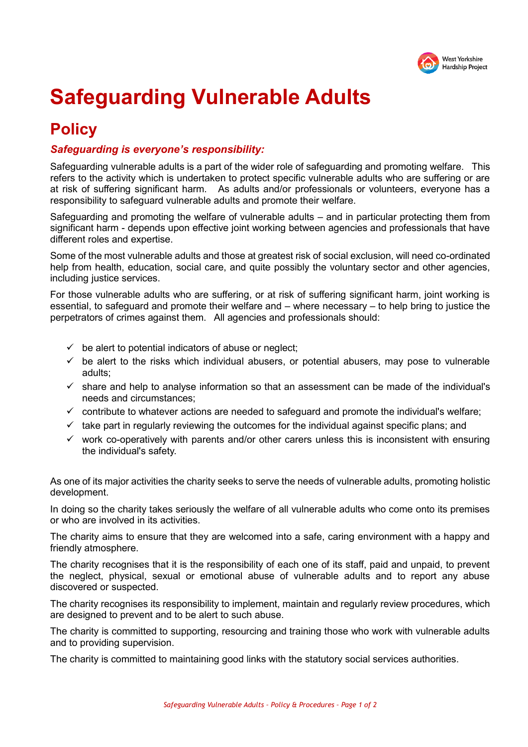

# **Safeguarding Vulnerable Adults**

# **Policy**

#### *Safeguarding is everyone's responsibility:*

Safeguarding vulnerable adults is a part of the wider role of safeguarding and promoting welfare. This refers to the activity which is undertaken to protect specific vulnerable adults who are suffering or are at risk of suffering significant harm. As adults and/or professionals or volunteers, everyone has a responsibility to safeguard vulnerable adults and promote their welfare.

Safeguarding and promoting the welfare of vulnerable adults – and in particular protecting them from significant harm - depends upon effective joint working between agencies and professionals that have different roles and expertise.

Some of the most vulnerable adults and those at greatest risk of social exclusion, will need co-ordinated help from health, education, social care, and quite possibly the voluntary sector and other agencies, including justice services.

For those vulnerable adults who are suffering, or at risk of suffering significant harm, joint working is essential, to safeguard and promote their welfare and – where necessary – to help bring to justice the perpetrators of crimes against them. All agencies and professionals should:

- $\checkmark$  be alert to potential indicators of abuse or neglect;
- $\checkmark$  be alert to the risks which individual abusers, or potential abusers, may pose to vulnerable adults;
- $\checkmark$  share and help to analyse information so that an assessment can be made of the individual's needs and circumstances;
- $\checkmark$  contribute to whatever actions are needed to safeguard and promote the individual's welfare;
- $\checkmark$  take part in regularly reviewing the outcomes for the individual against specific plans; and
- $\checkmark$  work co-operatively with parents and/or other carers unless this is inconsistent with ensuring the individual's safety.

As one of its major activities the charity seeks to serve the needs of vulnerable adults, promoting holistic development.

In doing so the charity takes seriously the welfare of all vulnerable adults who come onto its premises or who are involved in its activities.

The charity aims to ensure that they are welcomed into a safe, caring environment with a happy and friendly atmosphere.

The charity recognises that it is the responsibility of each one of its staff, paid and unpaid, to prevent the neglect, physical, sexual or emotional abuse of vulnerable adults and to report any abuse discovered or suspected.

The charity recognises its responsibility to implement, maintain and regularly review procedures, which are designed to prevent and to be alert to such abuse.

The charity is committed to supporting, resourcing and training those who work with vulnerable adults and to providing supervision.

The charity is committed to maintaining good links with the statutory social services authorities.